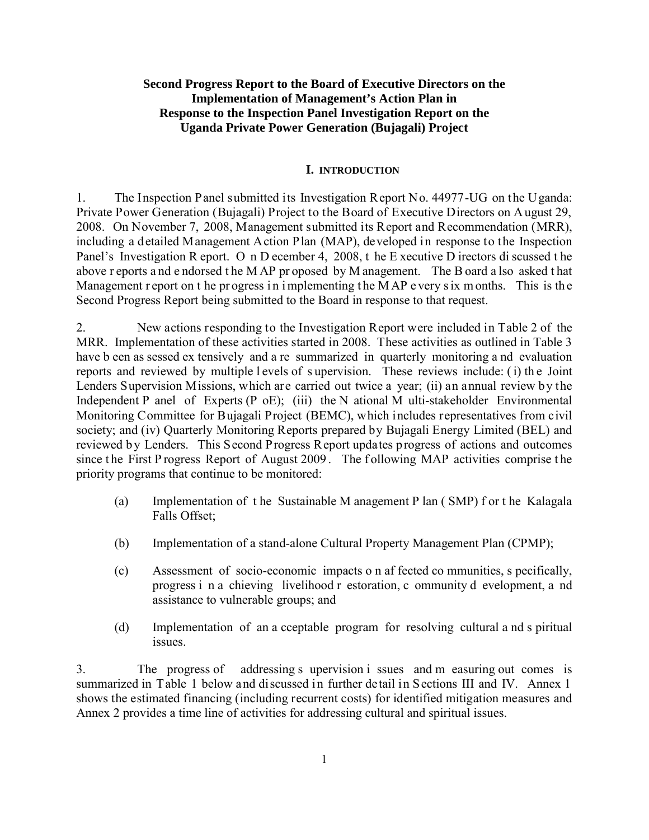## **Second Progress Report to the Board of Executive Directors on the Implementation of Management's Action Plan in Response to the Inspection Panel Investigation Report on the Uganda Private Power Generation (Bujagali) Project**

### **I. INTRODUCTION**

1. The Inspection Panel submitted its Investigation Report No. 44977-UG on the Uganda: Private Power Generation (Bujagali) Project to the Board of Executive Directors on A ugust 29, 2008. On November 7, 2008, Management submitted its Report and Recommendation (MRR), including a detailed Management Action Plan (MAP), developed in response to the Inspection Panel's Investigation R eport. O n D ecember 4, 2008, t he E xecutive D irectors di scussed t he above r eports a nd e ndorsed t he M AP pr oposed by M anagement. The B oard a lso asked t hat Management r eport on t he pr ogress in implementing the MAP e very s ix m onths. This is the Second Progress Report being submitted to the Board in response to that request.

2. New actions responding to the Investigation Report were included in Table 2 of the MRR. Implementation of these activities started in 2008. These activities as outlined in Table 3 have b een as sessed ex tensively and a re summarized in quarterly monitoring a nd evaluation reports and reviewed by multiple l evels of s upervision. These reviews include: ( i) th e Joint Lenders Supervision Missions, which are carried out twice a year; (ii) an annual review by the Independent P anel of Experts (P oE); (iii) the N ational M ulti-stakeholder Environmental Monitoring Committee for Bujagali Project (BEMC), which includes representatives from civil society; and (iv) Quarterly Monitoring Reports prepared by Bujagali Energy Limited (BEL) and reviewed by Lenders. This Second Progress Report updates progress of actions and outcomes since the First P rogress Report of August 2009. The following MAP activities comprise the priority programs that continue to be monitored:

- (a) Implementation of t he Sustainable M anagement P lan ( SMP) f or t he Kalagala Falls Offset;
- (b) Implementation of a stand-alone Cultural Property Management Plan (CPMP);
- (c) Assessment of socio-economic impacts o n af fected co mmunities, s pecifically, progress i n a chieving livelihood r estoration, c ommunity d evelopment, a nd assistance to vulnerable groups; and
- (d) Implementation of an a cceptable program for resolving cultural a nd s piritual issues.

3. The progress of addressing s upervision i ssues and m easuring out comes is summarized in Table 1 below and discussed in further detail in Sections III and IV. Annex 1 shows the estimated financing (including recurrent costs) for identified mitigation measures and Annex 2 provides a time line of activities for addressing cultural and spiritual issues.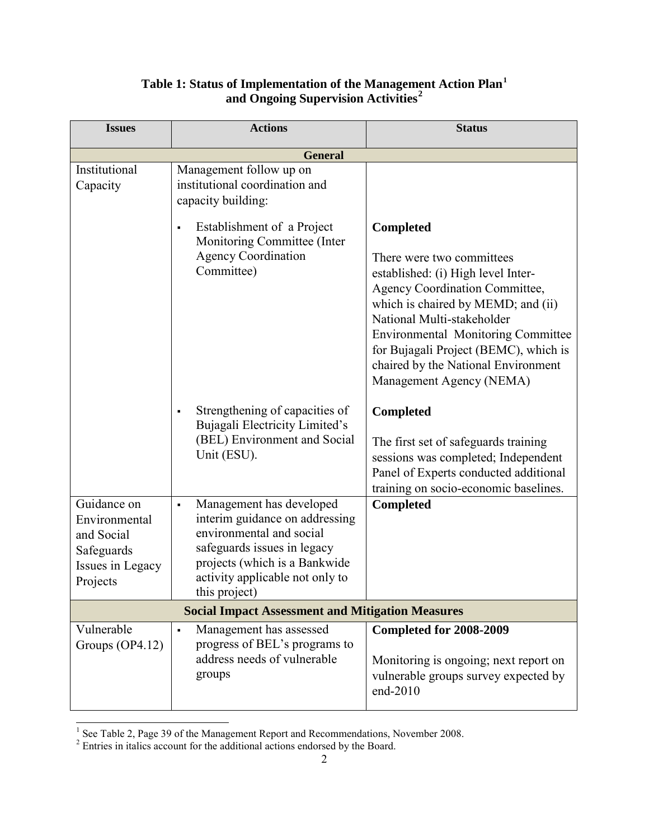| <b>Issues</b>                                                                            | <b>Actions</b>                                                                                                                                                                                                               | <b>Status</b>                                                                                                                                                                                                                                                                                                                                             |  |  |  |
|------------------------------------------------------------------------------------------|------------------------------------------------------------------------------------------------------------------------------------------------------------------------------------------------------------------------------|-----------------------------------------------------------------------------------------------------------------------------------------------------------------------------------------------------------------------------------------------------------------------------------------------------------------------------------------------------------|--|--|--|
|                                                                                          | <b>General</b>                                                                                                                                                                                                               |                                                                                                                                                                                                                                                                                                                                                           |  |  |  |
| Institutional<br>Capacity                                                                | Management follow up on<br>institutional coordination and<br>capacity building:                                                                                                                                              |                                                                                                                                                                                                                                                                                                                                                           |  |  |  |
|                                                                                          | Establishment of a Project<br>$\blacksquare$<br>Monitoring Committee (Inter<br><b>Agency Coordination</b><br>Committee)                                                                                                      | <b>Completed</b><br>There were two committees<br>established: (i) High level Inter-<br><b>Agency Coordination Committee,</b><br>which is chaired by MEMD; and (ii)<br>National Multi-stakeholder<br><b>Environmental Monitoring Committee</b><br>for Bujagali Project (BEMC), which is<br>chaired by the National Environment<br>Management Agency (NEMA) |  |  |  |
|                                                                                          | Strengthening of capacities of<br>$\blacksquare$<br>Bujagali Electricity Limited's<br>(BEL) Environment and Social<br>Unit (ESU).                                                                                            | <b>Completed</b><br>The first set of safeguards training<br>sessions was completed; Independent<br>Panel of Experts conducted additional<br>training on socio-economic baselines.                                                                                                                                                                         |  |  |  |
| Guidance on<br>Environmental<br>and Social<br>Safeguards<br>Issues in Legacy<br>Projects | Management has developed<br>$\blacksquare$<br>interim guidance on addressing<br>environmental and social<br>safeguards issues in legacy<br>projects (which is a Bankwide<br>activity applicable not only to<br>this project) | Completed                                                                                                                                                                                                                                                                                                                                                 |  |  |  |
| <b>Social Impact Assessment and Mitigation Measures</b>                                  |                                                                                                                                                                                                                              |                                                                                                                                                                                                                                                                                                                                                           |  |  |  |
| Vulnerable<br>Groups $(OP4.12)$                                                          | Management has assessed<br>$\blacksquare$<br>progress of BEL's programs to<br>address needs of vulnerable<br>groups                                                                                                          | Completed for 2008-2009<br>Monitoring is ongoing; next report on<br>vulnerable groups survey expected by<br>end-2010                                                                                                                                                                                                                                      |  |  |  |

## **Table 1: Status of Implementation of the Management Action Plan[1](#page-1-0)** of Implementation of the Management Action Plan<sup>1</sup><br>and Ongoing Supervision Activities<sup>[2](#page-1-1)</sup>

 $\overline{1}$  $1$  See Table 2, Page 39 of the Management Report and Recommendations, November 2008.

<span id="page-1-1"></span><span id="page-1-0"></span> $2^2$  Entries in italics account for the additional actions endorsed by the Board.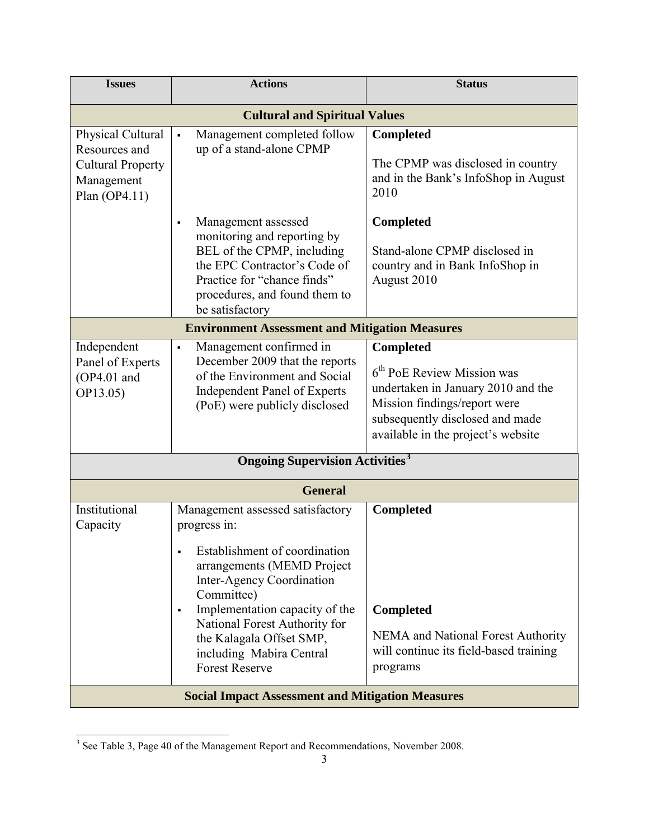| <b>Actions</b>                                                                                                                                                                                                                                                                                                      | <b>Status</b>                                                                                                                                                                                   |  |  |  |
|---------------------------------------------------------------------------------------------------------------------------------------------------------------------------------------------------------------------------------------------------------------------------------------------------------------------|-------------------------------------------------------------------------------------------------------------------------------------------------------------------------------------------------|--|--|--|
| <b>Cultural and Spiritual Values</b>                                                                                                                                                                                                                                                                                |                                                                                                                                                                                                 |  |  |  |
| Management completed follow<br>$\blacksquare$<br>up of a stand-alone CPMP                                                                                                                                                                                                                                           | <b>Completed</b><br>The CPMP was disclosed in country<br>and in the Bank's InfoShop in August<br>2010                                                                                           |  |  |  |
| Management assessed<br>$\blacksquare$<br>monitoring and reporting by<br>BEL of the CPMP, including<br>the EPC Contractor's Code of<br>Practice for "chance finds"<br>procedures, and found them to<br>be satisfactory                                                                                               | <b>Completed</b><br>Stand-alone CPMP disclosed in<br>country and in Bank InfoShop in<br>August 2010                                                                                             |  |  |  |
| <b>Environment Assessment and Mitigation Measures</b>                                                                                                                                                                                                                                                               |                                                                                                                                                                                                 |  |  |  |
| ٠<br>December 2009 that the reports<br>of the Environment and Social<br>Independent Panel of Experts<br>(PoE) were publicly disclosed                                                                                                                                                                               | <b>Completed</b><br>$6th$ PoE Review Mission was<br>undertaken in January 2010 and the<br>Mission findings/report were<br>subsequently disclosed and made<br>available in the project's website |  |  |  |
| <b>Ongoing Supervision Activities<sup>3</sup></b>                                                                                                                                                                                                                                                                   |                                                                                                                                                                                                 |  |  |  |
| <b>General</b>                                                                                                                                                                                                                                                                                                      |                                                                                                                                                                                                 |  |  |  |
| Management assessed satisfactory<br>progress in:<br>Establishment of coordination<br>arrangements (MEMD Project<br>Inter-Agency Coordination<br>Committee)<br>Implementation capacity of the<br>٠<br>National Forest Authority for<br>the Kalagala Offset SMP,<br>including Mabira Central<br><b>Forest Reserve</b> | <b>Completed</b><br><b>Completed</b><br>NEMA and National Forest Authority<br>will continue its field-based training<br>programs                                                                |  |  |  |
|                                                                                                                                                                                                                                                                                                                     | Management confirmed in<br><b>Social Impact Assessment and Mitigation Measures</b>                                                                                                              |  |  |  |

<span id="page-2-0"></span> $\overline{1}$  $3$  See Table 3, Page 40 of the Management Report and Recommendations, November 2008.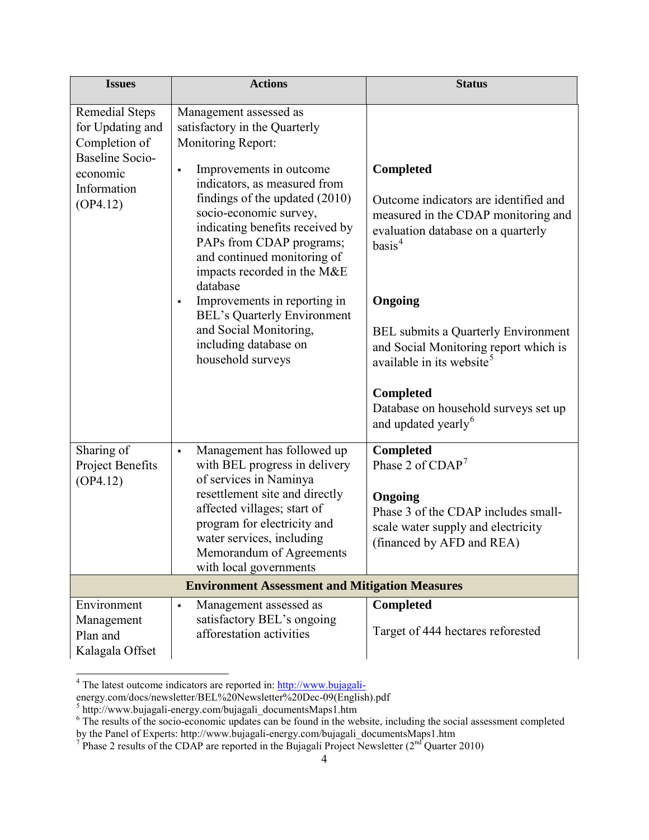| <b>Issues</b>                                                                                    | <b>Actions</b>                                                                                                                                                                                                                    | <b>Status</b>                                                                                                                            |  |
|--------------------------------------------------------------------------------------------------|-----------------------------------------------------------------------------------------------------------------------------------------------------------------------------------------------------------------------------------|------------------------------------------------------------------------------------------------------------------------------------------|--|
| <b>Remedial Steps</b><br>for Updating and<br>Completion of<br><b>Baseline Socio-</b><br>economic | Management assessed as<br>satisfactory in the Quarterly<br>Monitoring Report:<br>Improvements in outcome<br>$\blacksquare$                                                                                                        | <b>Completed</b>                                                                                                                         |  |
| Information<br>(OP4.12)                                                                          | indicators, as measured from<br>findings of the updated (2010)<br>socio-economic survey,<br>indicating benefits received by<br>PAPs from CDAP programs;<br>and continued monitoring of<br>impacts recorded in the M&E<br>database | Outcome indicators are identified and<br>measured in the CDAP monitoring and<br>evaluation database on a quarterly<br>basis <sup>4</sup> |  |
|                                                                                                  | Improvements in reporting in<br>٠<br><b>BEL's Quarterly Environment</b><br>and Social Monitoring,<br>including database on<br>household surveys                                                                                   | Ongoing<br><b>BEL</b> submits a Quarterly Environment<br>and Social Monitoring report which is<br>available in its website <sup>5</sup>  |  |
|                                                                                                  |                                                                                                                                                                                                                                   | <b>Completed</b><br>Database on household surveys set up<br>and updated yearly <sup>6</sup>                                              |  |
| Sharing of<br>Project Benefits<br>(OP4.12)                                                       | Management has followed up<br>٠<br>with BEL progress in delivery<br>of services in Naminya<br>resettlement site and directly                                                                                                      | <b>Completed</b><br>Phase 2 of $CDAP7$                                                                                                   |  |
|                                                                                                  | affected villages; start of<br>program for electricity and<br>water services, including<br>Memorandum of Agreements<br>with local governments                                                                                     | Ongoing<br>Phase 3 of the CDAP includes small-<br>scale water supply and electricity<br>(financed by AFD and REA)                        |  |
| <b>Environment Assessment and Mitigation Measures</b>                                            |                                                                                                                                                                                                                                   |                                                                                                                                          |  |
| Environment<br>Management<br>Plan and<br>Kalagala Offset                                         | Management assessed as<br>٠<br>satisfactory BEL's ongoing<br>afforestation activities                                                                                                                                             | Completed<br>Target of 444 hectares reforested                                                                                           |  |

 $\overline{1}$ <sup>4</sup> The latest outcome indicators are reported in: [http://www.bujagali-](http://www.bujagali-/)

<span id="page-3-1"></span><span id="page-3-0"></span>energy.com/docs/newsletter/BEL%20Newsletter%20Dec-09(English).pdf<br><sup>5</sup> http://www.bujagali-energy.com/bujagali\_documentsMaps1.htm

<span id="page-3-2"></span> $6$  The results of the socio-economic updates can be found in the website, including the social assessment completed

<span id="page-3-3"></span>by the Panel of Experts: http://www.bujagali-energy.com/bujagali\_documentsMaps1.htm<br><sup>7</sup> Phase 2 results of the CDAP are reported in the Bujagali Project Newsletter (2<sup>nd</sup> Quarter 2010)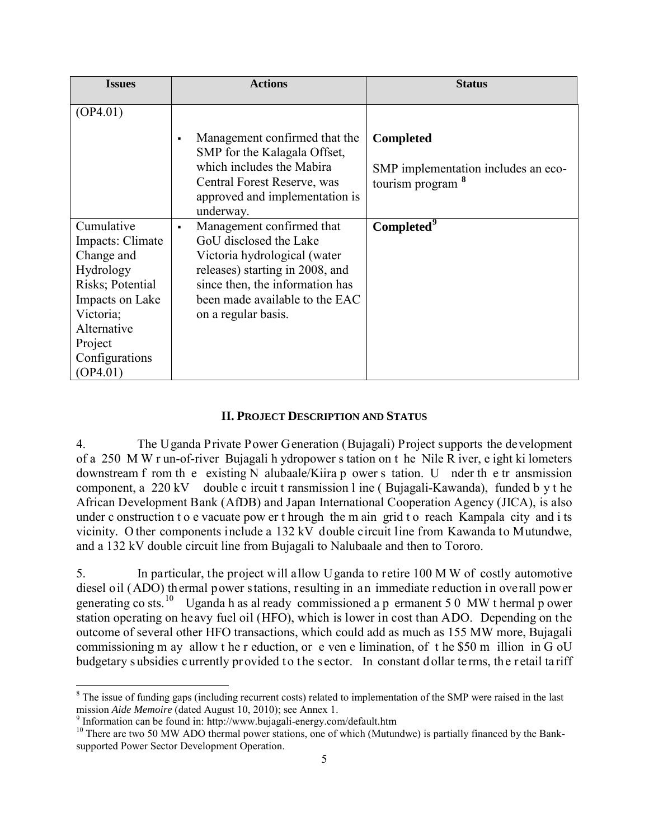| <b>Issues</b>           | <b>Actions</b>                                                                  | <b>Status</b>                       |  |
|-------------------------|---------------------------------------------------------------------------------|-------------------------------------|--|
| (OP4.01)                |                                                                                 |                                     |  |
|                         | Management confirmed that the<br>$\blacksquare$<br>SMP for the Kalagala Offset, | <b>Completed</b>                    |  |
|                         | which includes the Mabira                                                       | SMP implementation includes an eco- |  |
|                         | Central Forest Reserve, was<br>approved and implementation is                   | tourism program                     |  |
|                         | underway.                                                                       |                                     |  |
| Cumulative              | Management confirmed that<br>٠                                                  | Completed <sup>9</sup>              |  |
| Impacts: Climate        | GoU disclosed the Lake                                                          |                                     |  |
| Change and<br>Hydrology | Victoria hydrological (water<br>releases) starting in 2008, and                 |                                     |  |
| Risks; Potential        | since then, the information has                                                 |                                     |  |
| Impacts on Lake         | been made available to the EAC                                                  |                                     |  |
| Victoria;               | on a regular basis.                                                             |                                     |  |
| Alternative             |                                                                                 |                                     |  |
| Project                 |                                                                                 |                                     |  |
| Configurations          |                                                                                 |                                     |  |
| (OP4.01)                |                                                                                 |                                     |  |

### **II. PROJECT DESCRIPTION AND STATUS**

4. The Uganda Private Power Generation (Bujagali) Project supports the development of a 250 M W r un-of-river Bujagali h ydropower s tation on t he Nile R iver, e ight ki lometers downstream f rom th e existing N alubaale/Kiira p ower s tation. U nder th e tr ansmission component, a 220 kV double c ircuit t ransmission l ine ( Bujagali-Kawanda), funded b y t he African Development Bank (AfDB) and Japan International Cooperation Agency (JICA), is also under c onstruction t o e vacuate pow er t hrough the m ain grid t o reach Kampala city and i ts vicinity. O ther components include a 132 kV double circuit line from Kawanda to Mutundwe, and a 132 kV double circuit line from Bujagali to Nalubaale and then to Tororo.

5. In particular, the project will allow Uganda to retire 100 M W of costly automotive diesel oil (ADO) thermal power stations, resulting in an immediate reduction in overall power generating co sts.<sup>[10](#page-4-2)</sup> Uganda h as al ready commissioned a p ermanent 5 0 MW t hermal p ower station operating on heavy fuel oil (HFO), which is lower in cost than ADO. Depending on the outcome of several other HFO transactions, which could add as much as 155 MW more, Bujagali commissioning m ay allow t he r eduction, or e ven e limination, of t he \$50 m illion in G oU budgetary subsidies currently provided to the sector. In constant dollar terms, the retail tariff

<span id="page-4-0"></span> $\frac{1}{c}$  $8$  The issue of funding gaps (including recurrent costs) related to implementation of the SMP were raised in the last mission *Aide Memoire* (dated August 10, 2010); see Annex 1.

<span id="page-4-1"></span><sup>9</sup> Information can be found in: http://www.bujagali-energy.com/default.htm

<span id="page-4-2"></span><sup>&</sup>lt;sup>10</sup> There are two 50 MW ADO thermal power stations, one of which (Mutundwe) is partially financed by the Banksupported Power Sector Development Operation.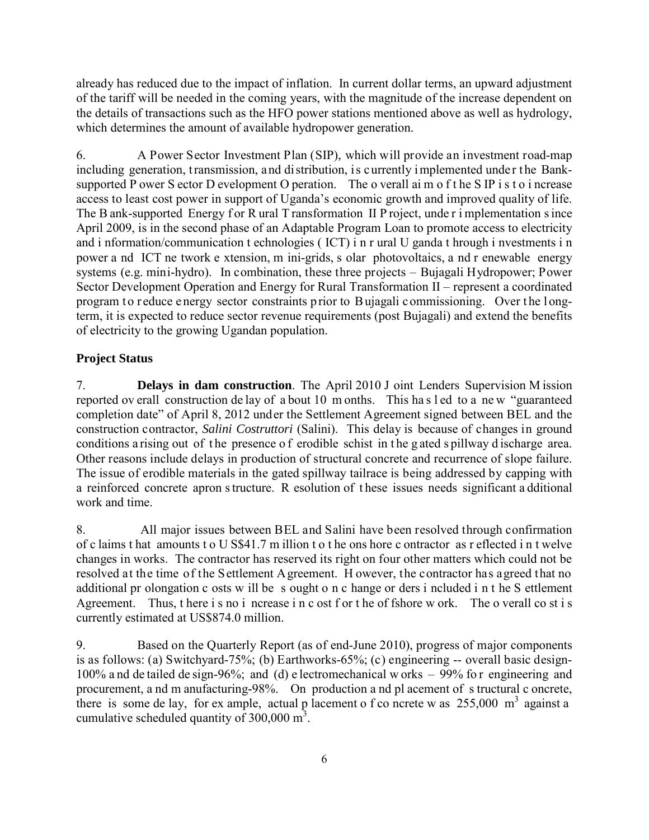already has reduced due to the impact of inflation. In current dollar terms, an upward adjustment of the tariff will be needed in the coming years, with the magnitude of the increase dependent on the details of transactions such as the HFO power stations mentioned above as well as hydrology, which determines the amount of available hydropower generation.

6. A Power Sector Investment Plan (SIP), which will provide an investment road-map including generation, transmission, and distribution, is currently implemented under the Banksupported P ower S ector D evelopment O peration. The o verall aim o f t he S IP i s t o i ncrease access to least cost power in support of Uganda's economic growth and improved quality of life. The B ank-supported Energy f or R ural T ransformation II P roject, unde r i mplementation s ince April 2009, is in the second phase of an Adaptable Program Loan to promote access to electricity and i nformation/communication t echnologies ( ICT) i n r ural U ganda t hrough i nvestments i n power a nd ICT ne twork e xtension, m ini-grids, s olar photovoltaics, a nd r enewable energy systems (e.g. mini-hydro). In combination, these three projects – Bujagali Hydropower; Power Sector Development Operation and Energy for Rural Transformation II – represent a coordinated program to reduce e nergy sector constraints prior to Bujagali commissioning. Over the longterm, it is expected to reduce sector revenue requirements (post Bujagali) and extend the benefits of electricity to the growing Ugandan population.

# **Project Status**

7. **Delays in dam construction**. The April 2010 J oint Lenders Supervision M ission reported ov erall construction de lay of a bout 10 m onths. This ha s l ed to a ne w "guaranteed completion date" of April 8, 2012 under the Settlement Agreement signed between BEL and the construction contractor, *Salini Costruttori* (Salini). This delay is because of changes in ground conditions a rising out of the presence of erodible schist in the gated s pillway d ischarge area. Other reasons include delays in production of structural concrete and recurrence of slope failure. The issue of erodible materials in the gated spillway tailrace is being addressed by capping with a reinforced concrete apron s tructure. R esolution of t hese issues needs significant a dditional work and time.

8. All major issues between BEL and Salini have been resolved through confirmation of c laims t hat amounts t o U S\$41.7 m illion t o t he ons hore c ontractor as r eflected i n t welve changes in works. The contractor has reserved its right on four other matters which could not be resolved at the time of the Settlement Agreement. H owever, the contractor has agreed that no additional pr olongation c osts w ill be s ought o n c hange or ders i ncluded i n t he S ettlement Agreement. Thus, t here is no i ncrease in c ost f or t he of fshore w ork. The o verall co st is currently estimated at US\$874.0 million.

9. Based on the Quarterly Report (as of end-June 2010), progress of major components is as follows: (a) Switchyard-75%; (b) Earthworks-65%; (c) engineering -- overall basic design-100% a nd de tailed de sign-96%; and (d) e lectromechanical w orks – 99% fo r engineering and procurement, a nd m anufacturing-98%. On production a nd pl acement of s tructural c oncrete, there is some de lay, for ex ample, actual p lacement o f co ncrete w as  $255,000 \text{ m}^3$  against a cumulative scheduled quantity of  $300,000 \text{ m}^3$ .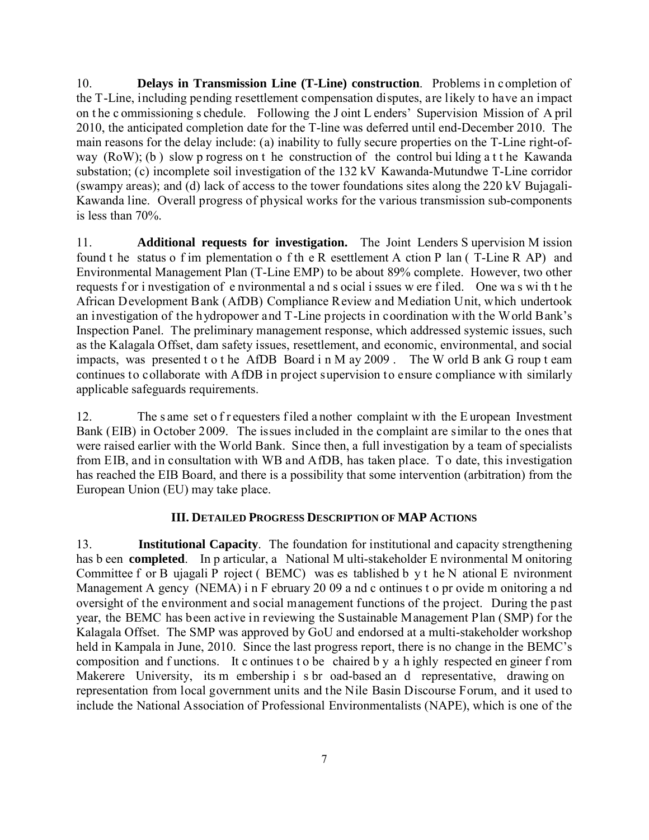10. **Delays in Transmission Line (T-Line) construction**. Problems in completion of the T-Line, including pending resettlement compensation disputes, are likely to have an impact on t he c ommissioning s chedule. Following the J oint L enders' Supervision Mission of A pril 2010, the anticipated completion date for the T-line was deferred until end-December 2010. The main reasons for the delay include: (a) inability to fully secure properties on the T-Line right-ofway (RoW); (b ) slow p rogress on t he construction of the control bui lding a t t he Kawanda substation; (c) incomplete soil investigation of the 132 kV Kawanda-Mutundwe T-Line corridor (swampy areas); and (d) lack of access to the tower foundations sites along the 220 kV Bujagali-Kawanda line. Overall progress of physical works for the various transmission sub-components is less than 70%.

11. **Additional requests for investigation.** The Joint Lenders S upervision M ission found t he status o f im plementation o f th e R esettlement A ction P lan ( T-Line R AP) and Environmental Management Plan (T-Line EMP) to be about 89% complete. However, two other requests f or i nvestigation of e nvironmental a nd s ocial i ssues w ere f iled. One wa s wi th t he African Development Bank (AfDB) Compliance Review and Mediation Unit, which undertook an investigation of the hydropower and T-Line projects in coordination with the World Bank's Inspection Panel. The preliminary management response, which addressed systemic issues, such as the Kalagala Offset, dam safety issues, resettlement, and economic, environmental, and social impacts, was presented t o t he AfDB Board i n M ay 2009 . The W orld B ank G roup t eam continues to collaborate with AfDB in project supervision to ensure compliance with similarly applicable safeguards requirements.

12. The s ame set o f r equesters f iled a nother complaint w ith the E uropean Investment Bank (EIB) in October 2009. The issues included in the complaint are similar to the ones that were raised earlier with the World Bank. Since then, a full investigation by a team of specialists from EIB, and in consultation with WB and AfDB, has taken place. T o date, this investigation has reached the EIB Board, and there is a possibility that some intervention (arbitration) from the European Union (EU) may take place.

## **III. DETAILED PROGRESS DESCRIPTION OF MAP ACTIONS**

13. **Institutional Capacity**. The foundation for institutional and capacity strengthening has b een **completed**. In p articular, a National M ulti-stakeholder E nvironmental M onitoring Committee f or B ujagali P roject ( BEMC) was es tablished b y t he N ational E nvironment Management A gency (NEMA) i n F ebruary 20 09 a nd c ontinues t o pr ovide m onitoring a nd oversight of the environment and social management functions of the project. During the past year, the BEMC has been active in reviewing the Sustainable Management Plan (SMP) for the Kalagala Offset. The SMP was approved by GoU and endorsed at a multi-stakeholder workshop held in Kampala in June, 2010. Since the last progress report, there is no change in the BEMC's composition and f unctions. It c ontinues t o be chaired b y a h ighly respected en gineer f rom Makerere University, its m embership i s br oad-based an d representative, drawing on representation from local government units and the Nile Basin Discourse Forum, and it used to include the National Association of Professional Environmentalists (NAPE), which is one of the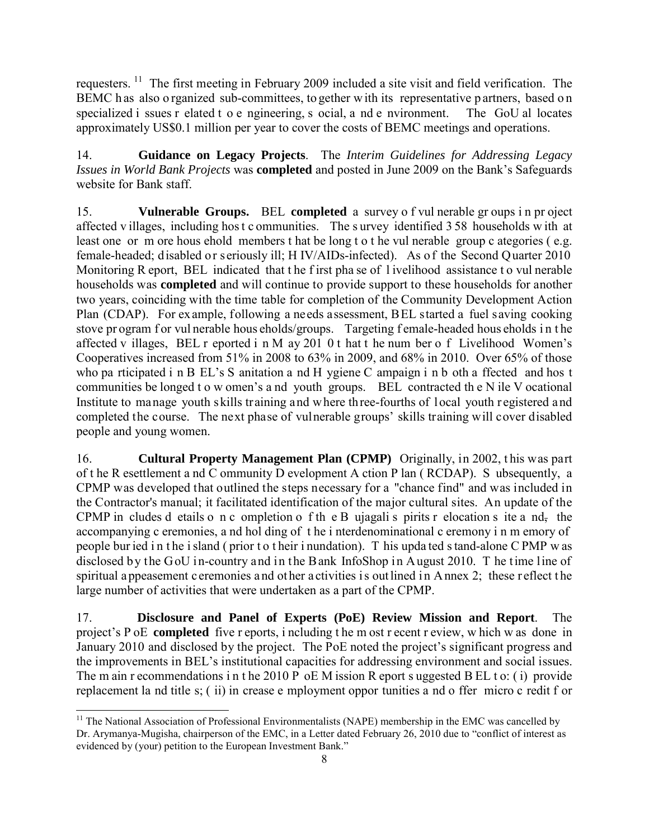requesters.<sup>[11](#page-7-0)</sup> The first meeting in February 2009 included a site visit and field verification. The BEMC h as also o rganized sub-committees, to gether w ith its representative p artners, based on specialized i ssues r elated t o e ngineering, s ocial, a nd e nvironment. The GoU al locates approximately US\$0.1 million per year to cover the costs of BEMC meetings and operations.

14. **Guidance on Legacy Projects**. The *Interim Guidelines for Addressing Legacy Issues in World Bank Projects* was **completed** and posted in June 2009 on the Bank's Safeguards website for Bank staff.

15. **Vulnerable Groups.** BEL **completed** a survey o f vul nerable gr oups i n pr oject affected v illages, including hos t c ommunities. The s urvey identified 3 58 households w ith at least one or m ore hous ehold members t hat be long t o t he vul nerable group c ategories ( e.g. female-headed; disabled or seriously ill; H IV/AIDs-infected). As of the Second Quarter 2010 Monitoring R eport, BEL indicated that the f irst pha se of l ivelihood assistance to vul nerable households was **completed** and will continue to provide support to these households for another two years, coinciding with the time table for completion of the Community Development Action Plan (CDAP). For example, following a needs assessment, BEL started a fuel saving cooking stove pr ogram f or vul nerable hous eholds/groups. Targeting f emale-headed hous eholds in the affected v illages, BEL r eported i n M ay 201 0 t hat t he num ber o f Livelihood Women's Cooperatives increased from 51% in 2008 to 63% in 2009, and 68% in 2010. Over 65% of those who pa rticipated i n B EL's S anitation a nd H ygiene C ampaign i n b oth a ffected and hos t communities be longed t o w omen's a nd youth groups. BEL contracted th e N ile V ocational Institute to manage youth skills training and where three-fourths of local youth r egistered and completed the course. The next phase of vulnerable groups' skills training will cover disabled people and young women.

16. **Cultural Property Management Plan (CPMP)** Originally, in 2002, t his was part of t he R esettlement a nd C ommunity D evelopment A ction P lan ( RCDAP). S ubsequently, a CPMP was developed that outlined the steps necessary for a "chance find" and was included in the Contractor's manual; it facilitated identification of the major cultural sites. An update of the CPMP in cludes d etails o n c ompletion o f th e B ujagali s pirits r elocation s ite a nd, the accompanying c eremonies, a nd hol ding of t he i nterdenominational c eremony i n m emory of people bur ied i n t he i sland ( prior t o t heir i nundation). T his upda ted s tand-alone C PMP w as disclosed by the GoU in-country and in the Bank InfoShop in August 2010. T he time line of spiritual a ppeasement c eremonies and other a ctivities is outlined in A nnex 2; these r eflect the large number of activities that were undertaken as a part of the CPMP.

17. **Disclosure and Panel of Experts (PoE) Review Mission and Report**. The project's P oE **completed** five r eports, i ncluding t he m ost r ecent r eview, w hich w as done in January 2010 and disclosed by the project. The PoE noted the project's significant progress and the improvements in BEL's institutional capacities for addressing environment and social issues. The m ain r ecommendations in the 2010 P oE M ission R eport s uggested B EL t o: (i) provide replacement la nd title s; ( ii) in crease e mployment oppor tunities a nd o ffer micro c redit f or

<span id="page-7-0"></span> $\frac{1}{1}$ <sup>11</sup> The National Association of Professional Environmentalists (NAPE) membership in the EMC was cancelled by Dr. Arymanya-Mugisha, chairperson of the EMC, in a Letter dated February 26, 2010 due to "conflict of interest as evidenced by (your) petition to the European Investment Bank."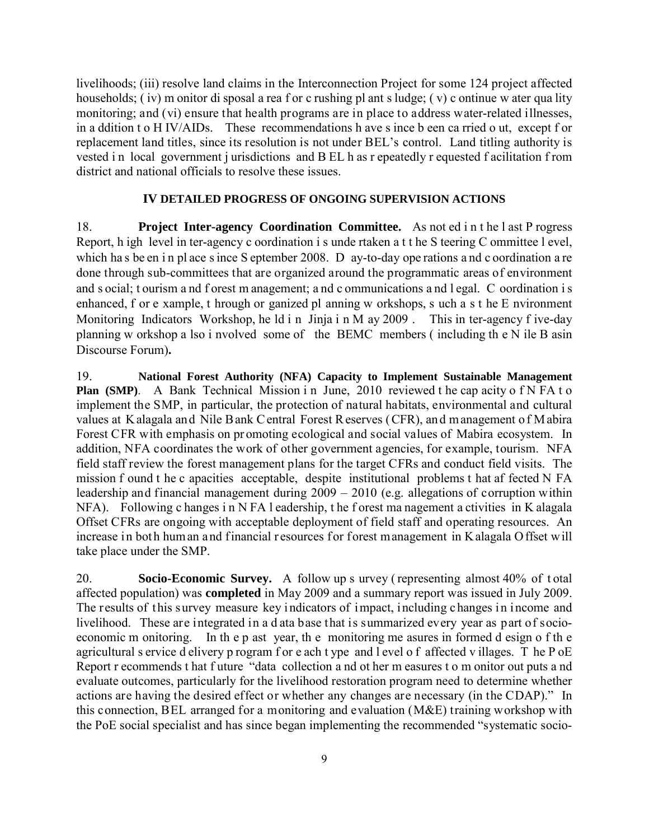livelihoods; (iii) resolve land claims in the Interconnection Project for some 124 project affected households; (iv) m onitor di sposal a rea f or c rushing pl ant s ludge; (v) c ontinue w ater qua lity monitoring; and (vi) ensure that health programs are in place to address water-related illnesses, in a ddition t o H IV/AIDs. These recommendations h ave s ince b een ca rried o ut, except f or replacement land titles, since its resolution is not under BEL's control. Land titling authority is vested in local government jurisdictions and B EL h as r epeatedly r equested f acilitation f rom district and national officials to resolve these issues.

### **IV DETAILED PROGRESS OF ONGOING SUPERVISION ACTIONS**

18. **Project Inter-agency Coordination Committee.** As not ed i n t he l ast P rogress Report, h igh level in ter-agency c oordination i s unde rtaken a t t he S teering C ommittee l evel, which has be en in pl ace s ince S eptember 2008. D ay-to-day ope rations and c oordination a re done through sub-committees that are organized around the programmatic areas of environment and s ocial; t ourism a nd f orest m anagement; a nd c ommunications a nd l egal. C oordination i s enhanced, f or e xample, t hrough or ganized pl anning w orkshops, s uch a s t he E nvironment Monitoring Indicators Workshop, he ld i n Jinja i n M ay 2009. This in ter-agency f ive-day planning w orkshop a lso i nvolved some of the BEMC members ( including th e N ile B asin Discourse Forum)**.** 

19. **National Forest Authority (NFA) Capacity to Implement Sustainable Management Plan (SMP).** A Bank Technical Mission in June, 2010 reviewed the cap acity of N FA t o implement the SMP, in particular, the protection of natural habitats, environmental and cultural values at Kalagala and Nile Bank C entral Forest R eserves (CFR), and m anagement of M abira Forest CFR with emphasis on pr omoting ecological and social values of Mabira ecosystem. In addition, NFA coordinates the work of other government agencies, for example, tourism. NFA field staff review the forest management plans for the target CFRs and conduct field visits. The mission f ound t he c apacities acceptable, despite institutional problems t hat af fected N FA leadership and financial management during 2009 – 2010 (e.g. allegations of corruption within NFA). Following c hanges i n N FA l eadership, t he f orest ma nagement a ctivities in K alagala Offset CFRs are ongoing with acceptable deployment of field staff and operating resources. An increase in both human and financial resources for forest management in Kalagala O ffset will take place under the SMP.

20. **Socio-Economic Survey.** A follow up s urvey ( representing almost 40% of t otal affected population) was **completed** in May 2009 and a summary report was issued in July 2009. The results of this survey measure key indicators of impact, including c hanges in income and livelihood. These are integrated in a d ata base that is summarized every year as part of socioeconomic m onitoring. In th e p ast year, th e monitoring me asures in formed d esign o f th e agricultural s ervice d elivery p rogram f or e ach t ype and l evel o f affected v illages. T he P oE Report r ecommends t hat f uture "data collection a nd ot her m easures t o m onitor out puts a nd evaluate outcomes, particularly for the livelihood restoration program need to determine whether actions are having the desired effect or whether any changes are necessary (in the CDAP)." In this connection, BEL arranged for a monitoring and evaluation (M&E) training workshop with the PoE social specialist and has since began implementing the recommended "systematic socio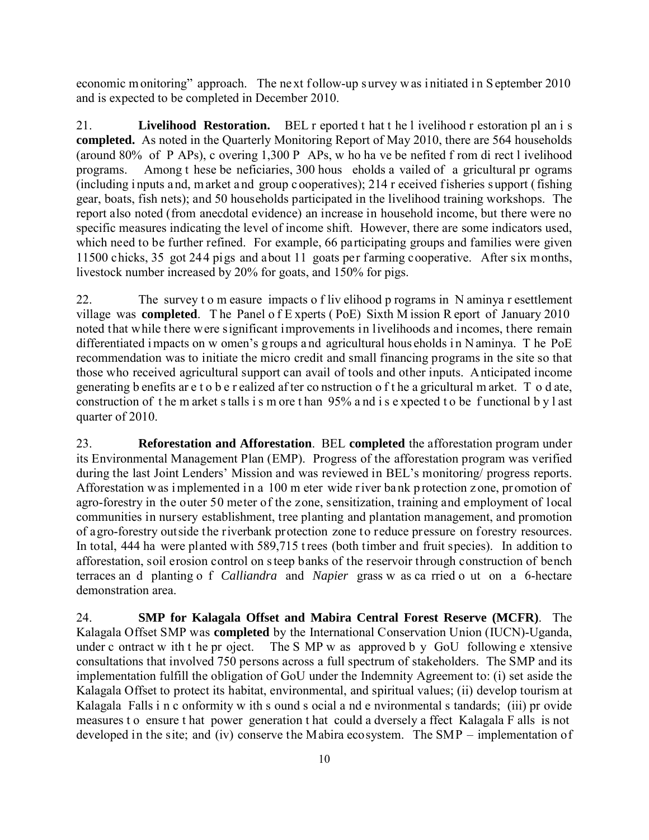economic m onitoring" approach. The next follow-up survey w as i nitiated in S eptember 2010 and is expected to be completed in December 2010.

21. **Livelihood Restoration.** BEL r eported t hat t he l ivelihood r estoration pl an i s **completed.** As noted in the Quarterly Monitoring Report of May 2010, there are 564 households (around 80% of P APs), c overing 1,300 P APs, w ho ha ve be nefited f rom di rect l ivelihood programs. Among t hese be neficiaries, 300 hous eholds a vailed of a gricultural pr ograms (including i nputs a nd, m arket a nd group c ooperatives); 214 r eceived f isheries s upport ( fishing gear, boats, fish nets); and 50 households participated in the livelihood training workshops. The report also noted (from anecdotal evidence) an increase in household income, but there were no specific measures indicating the level of income shift. However, there are some indicators used, which need to be further refined. For example, 66 participating groups and families were given 11500 chicks, 35 got 244 pigs and about 11 goats per farming cooperative. After six months, livestock number increased by 20% for goats, and 150% for pigs.

22. The survey t o m easure impacts o f liv elihood p rograms in N aminya r esettlement village was **completed**. T he Panel o f E xperts ( PoE) Sixth M ission R eport of January 2010 noted that while there were significant improvements in livelihoods and incomes, there remain differentiated i mpacts on w omen's g roups a nd agricultural hous eholds in N aminya. The PoE recommendation was to initiate the micro credit and small financing programs in the site so that those who received agricultural support can avail of tools and other inputs. Anticipated income generating b enefits ar e t o b e r ealized af ter co nstruction o f t he a gricultural m arket. T o d ate, construction of t he m arket s talls i s m ore t han 95% a nd i s e xpected t o be f unctional b y l ast quarter of 2010.

23. **Reforestation and Afforestation**.BEL **completed** the afforestation program under its Environmental Management Plan (EMP). Progress of the afforestation program was verified during the last Joint Lenders' Mission and was reviewed in BEL's monitoring/ progress reports. Afforestation w as implemented in a 100 m eter wide river bank p rotection z one, promotion of agro-forestry in the outer 50 meter of the zone, sensitization, training and employment of local communities in nursery establishment, tree planting and plantation management, and promotion of agro-forestry outside the riverbank protection zone to reduce pressure on forestry resources. In total, 444 ha were planted with 589,715 t rees (both timber and fruit species). In addition to afforestation, soil erosion control on s teep banks of the reservoir through construction of bench terraces an d planting o f *Calliandra* and *Napier* grass w as ca rried o ut on a 6-hectare demonstration area.

24. **SMP for Kalagala Offset and Mabira Central Forest Reserve (MCFR)**. The Kalagala Offset SMP was **completed** by the International Conservation Union (IUCN)-Uganda, under c ontract w ith t he pr oject. The S MP w as approved b y GoU following e xtensive consultations that involved 750 persons across a full spectrum of stakeholders. The SMP and its implementation fulfill the obligation of GoU under the Indemnity Agreement to: (i) set aside the Kalagala Offset to protect its habitat, environmental, and spiritual values; (ii) develop tourism at Kalagala Falls i n c onformity w ith s ound s ocial a nd e nvironmental s tandards; (iii) pr ovide measures t o ensure t hat power generation t hat could a dversely a ffect Kalagala F alls is not developed in the site; and (iv) conserve the Mabira ecosystem. The SMP – implementation of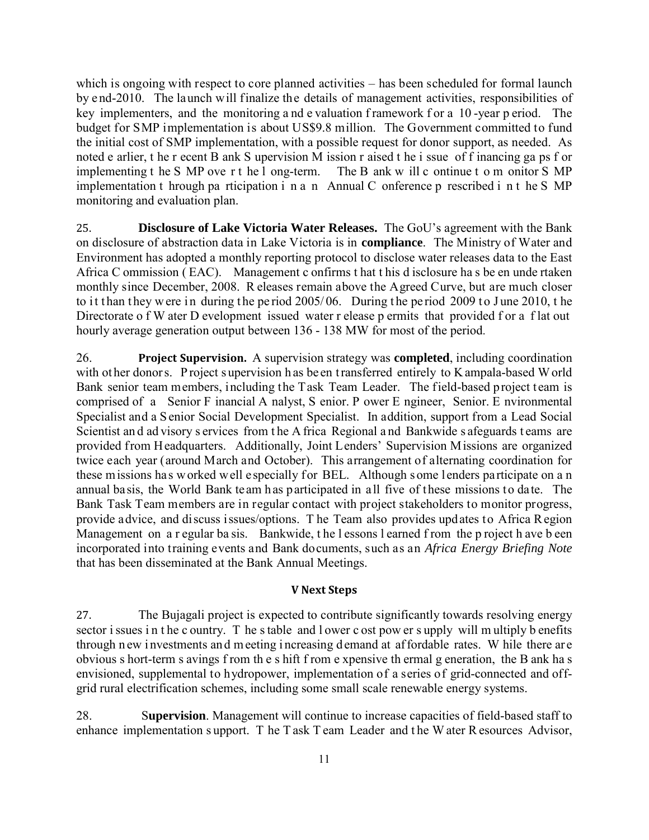which is ongoing with respect to core planned activities – has been scheduled for formal launch by e nd-2010. The launch will finalize the details of management activities, responsibilities of key implementers, and the monitoring and e valuation framework for a 10-year p eriod. The budget for SMP implementation is about US\$9.8 million. The Government committed to fund the initial cost of SMP implementation, with a possible request for donor support, as needed. As noted e arlier, t he r ecent B ank S upervision M ission r aised t he i ssue of f inancing ga ps f or implementing t he S MP ove r t he l ong-term. The B ank w ill c ontinue t o m onitor S MP implementing t he S MP ove r t he  $l$  ong-term. implementation t hrough pa rticipation i n a n Annual C onference p rescribed i n t he S MP monitoring and evaluation plan.

25. **Disclosure of Lake Victoria Water Releases.** The GoU's agreement with the Bank on disclosure of abstraction data in Lake Victoria is in **compliance**. The Ministry of Water and Environment has adopted a monthly reporting protocol to disclose water releases data to the East Africa C ommission ( EAC). Management c onfirms t hat t his d isclosure ha s be en unde rtaken monthly since December, 2008. R eleases remain above the Agreed Curve, but are much closer to it than they w ere in during the period 2005/06. During the period 2009 to June 2010, the Directorate o f W ater D evelopment issued water r elease p ermits that provided f or a flat out hourly average generation output between 136 - 138 MW for most of the period.

26. **Project Supervision.** A supervision strategy was **completed**, including coordination with ot her donors. Project supervision has be en transferred entirely to K ampala-based W orld Bank senior team members, including the Task Team Leader. The field-based project team is comprised of a Senior F inancial A nalyst, S enior. P ower E ngineer, Senior. E nvironmental Specialist and a Senior Social Development Specialist. In addition, support from a Lead Social Scientist and ad visory s ervices from the A frica Regional and Bankwide s afeguards t eams are provided from Headquarters. Additionally, Joint Lenders' Supervision Missions are organized twice each year (around March and October). This arrangement of alternating coordination for these missions has worked well especially for BEL. Although some lenders participate on a n annual basis, the World Bank team has participated in all five of these missions to date. The Bank Task Team members are in regular contact with project stakeholders to monitor progress, provide advice, and discuss issues/options. T he Team also provides updates to Africa Region Management on a r egular ba sis. Bankwide, the l essons l earned f rom the p roject h ave b een incorporated into training events and Bank documents, such as an *Africa Energy Briefing Note* that has been disseminated at the Bank Annual Meetings.

#### **V Next Steps**

27. The Bujagali project is expected to contribute significantly towards resolving energy sector i ssues in the c ountry. The stable and l ower c ost pow er s upply will m ultiply b enefits through n ew i nvestments an d m eeting i ncreasing d emand at af fordable rates. W hile there ar e obvious s hort-term s avings f rom th e s hift f rom e xpensive th ermal g eneration, the B ank ha s envisioned, supplemental to hydropower, implementation of a series of grid-connected and offgrid rural electrification schemes, including some small scale renewable energy systems.

28. S**upervision**. Management will continue to increase capacities of field-based staff to enhance implementation s upport. T he T ask T eam Leader and t he W ater R esources Advisor,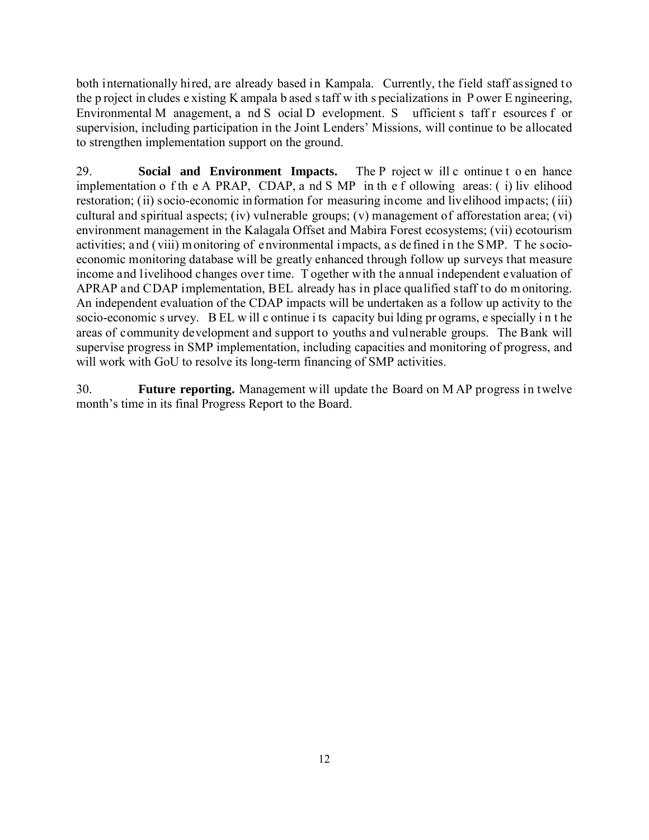both internationally hired, are already based in Kampala. Currently, the field staff assigned to the p roject in cludes e xisting K ampala b ased s taff w ith s pecializations in P ower E ngineering, Environmental M anagement, a nd S ocial D evelopment. S ufficient s taff r esources f or supervision, including participation in the Joint Lenders' Missions, will continue to be allocated to strengthen implementation support on the ground.

29. **Social and Environment Impacts.** The P roject w ill c ontinue t o en hance implementation o f th e A PRAP, CDAP, a nd S MP in th e f ollowing areas: ( i) liv elihood restoration; (ii) socio-economic information for measuring income and livelihood impacts; (iii) cultural and spiritual aspects; (iv) vulnerable groups; (v) management of afforestation area; (vi) environment management in the Kalagala Offset and Mabira Forest ecosystems; (vii) ecotourism activities; and (viii) monitoring of environmental impacts, as defined in t he SMP. T he socioeconomic monitoring database will be greatly enhanced through follow up surveys that measure income and livelihood changes over time. T ogether with the annual independent evaluation of APRAP and CDAP implementation, BEL already has in place qualified staff to do m onitoring. An independent evaluation of the CDAP impacts will be undertaken as a follow up activity to the socio-economic s urvey. B EL w ill c ontinue i ts capacity bui lding pr ograms, e specially i n t he areas of community development and support to youths and vulnerable groups. The Bank will supervise progress in SMP implementation, including capacities and monitoring of progress, and will work with GoU to resolve its long-term financing of SMP activities.

30. **Future reporting.** Management will update the Board on M AP progress in twelve month's time in its final Progress Report to the Board.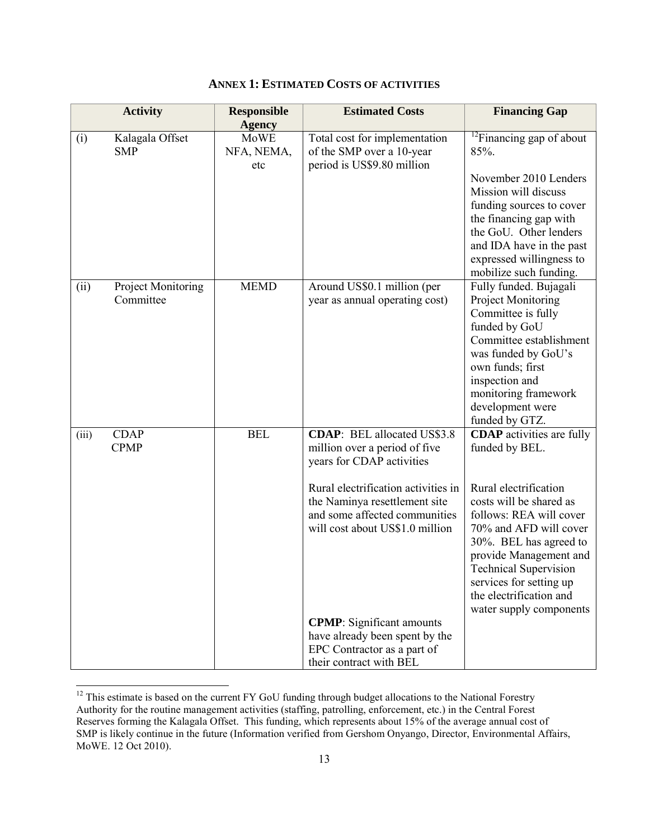|       | <b>Activity</b>                 | <b>Responsible</b>                                | <b>Estimated Costs</b>                                                                                                                                                                                                                                                                                                                                                        | <b>Financing Gap</b>                                                                                                                                                                                                                                                                                                             |
|-------|---------------------------------|---------------------------------------------------|-------------------------------------------------------------------------------------------------------------------------------------------------------------------------------------------------------------------------------------------------------------------------------------------------------------------------------------------------------------------------------|----------------------------------------------------------------------------------------------------------------------------------------------------------------------------------------------------------------------------------------------------------------------------------------------------------------------------------|
| (i)   | Kalagala Offset<br><b>SMP</b>   | <b>Agency</b><br><b>MoWE</b><br>NFA, NEMA,<br>etc | Total cost for implementation<br>of the SMP over a 10-year<br>period is US\$9.80 million                                                                                                                                                                                                                                                                                      | $12$ Financing gap of about<br>85%.<br>November 2010 Lenders<br>Mission will discuss<br>funding sources to cover<br>the financing gap with<br>the GoU. Other lenders<br>and IDA have in the past<br>expressed willingness to<br>mobilize such funding.                                                                           |
| (ii)  | Project Monitoring<br>Committee | <b>MEMD</b>                                       | Around US\$0.1 million (per<br>year as annual operating cost)                                                                                                                                                                                                                                                                                                                 | Fully funded. Bujagali<br>Project Monitoring<br>Committee is fully<br>funded by GoU<br>Committee establishment<br>was funded by GoU's<br>own funds; first<br>inspection and<br>monitoring framework<br>development were<br>funded by GTZ.                                                                                        |
| (iii) | <b>CDAP</b><br><b>CPMP</b>      | <b>BEL</b>                                        | <b>CDAP:</b> BEL allocated US\$3.8<br>million over a period of five<br>years for CDAP activities<br>Rural electrification activities in<br>the Naminya resettlement site<br>and some affected communities<br>will cost about US\$1.0 million<br><b>CPMP</b> : Significant amounts<br>have already been spent by the<br>EPC Contractor as a part of<br>their contract with BEL | <b>CDAP</b> activities are fully<br>funded by BEL.<br>Rural electrification<br>costs will be shared as<br>follows: REA will cover<br>70% and AFD will cover<br>30%. BEL has agreed to<br>provide Management and<br><b>Technical Supervision</b><br>services for setting up<br>the electrification and<br>water supply components |

## **ANNEX 1: ESTIMATED COSTS OF ACTIVITIES**

<span id="page-12-0"></span> $\overline{1}$  $12$  This estimate is based on the current FY GoU funding through budget allocations to the National Forestry Authority for the routine management activities (staffing, patrolling, enforcement, etc.) in the Central Forest Reserves forming the Kalagala Offset. This funding, which represents about 15% of the average annual cost of SMP is likely continue in the future (Information verified from Gershom Onyango, Director, Environmental Affairs, MoWE. 12 Oct 2010).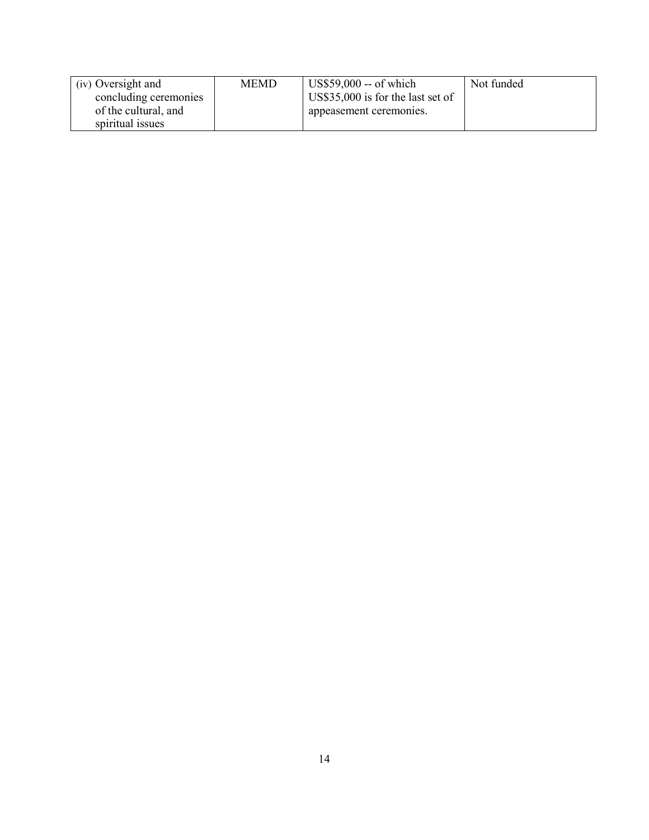| (iv) Oversight and    | <b>MEMD</b> | $\vert$ US\$59,000 -- of which    | Not funded |
|-----------------------|-------------|-----------------------------------|------------|
| concluding ceremonies |             | US\$35,000 is for the last set of |            |
| of the cultural, and  |             | appeasement ceremonies.           |            |
| spiritual issues      |             |                                   |            |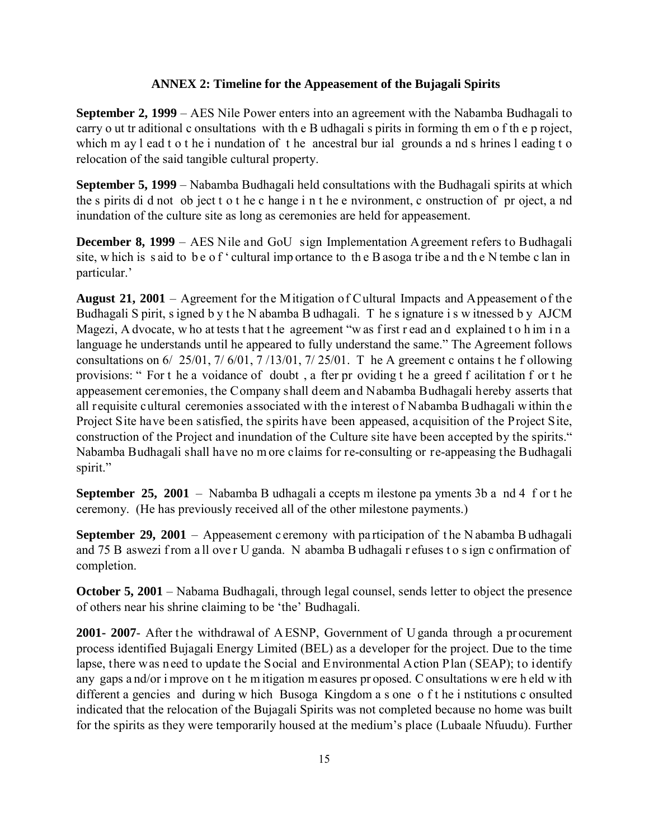#### **ANNEX 2: Timeline for the Appeasement of the Bujagali Spirits**

**September 2, 1999** – AES Nile Power enters into an agreement with the Nabamba Budhagali to carry o ut tr aditional c onsultations with th e B udhagali s pirits in forming th em o f th e p roject, which m ay l ead t o t he i nundation of t he ancestral bur ial grounds a nd s hrines l eading t o relocation of the said tangible cultural property.

**September 5, 1999** – Nabamba Budhagali held consultations with the Budhagali spirits at which the s pirits di d not ob ject t o t he c hange i n t he e nvironment, c onstruction of pr oject, a nd inundation of the culture site as long as ceremonies are held for appeasement.

**December 8, 1999** – AES Nile and GoU sign Implementation Agreement refers to Budhagali site, w hich is s aid to be of ' cultural imp ortance to the B asoga tr ibe a nd the N tembe c lan in particular.'

**August 21, 2001** – Agreement for the Mitigation of Cultural Impacts and Appeasement of the Budhagali S pirit, s igned b y t he N abamba B udhagali. T he s ignature i s w itnessed b y AJCM Magezi, A dvocate, w ho at tests t hat t he agreement "w as f irst r ead an d explained t o h im i n a language he understands until he appeared to fully understand the same." The Agreement follows consultations on  $6/25/01$ ,  $7/6/01$ ,  $7/13/01$ ,  $7/25/01$ . T he A greement c ontains t he f ollowing provisions: " For t he a voidance of doubt , a fter pr oviding t he a greed f acilitation f or t he appeasement ceremonies, the Company shall deem and Nabamba Budhagali hereby asserts that all requisite cultural ceremonies associated with the interest of Nabamba Budhagali within the Project Site have been satisfied, the spirits have been appeased, acquisition of the Project Site, construction of the Project and inundation of the Culture site have been accepted by the spirits." Nabamba Budhagali shall have no m ore claims for re-consulting or re-appeasing the Budhagali spirit."

**September 25, 2001** – Nabamba B udhagali a ccepts m ilestone pa yments 3b a nd 4 f or t he ceremony. (He has previously received all of the other milestone payments.)

**September 29, 2001** – Appeasement c eremony with participation of the N abamba B udhagali and 75 B aswezi f rom a ll ove r U ganda. N abamba B udhagali r efuses t o s ign c onfirmation of completion.

**October 5, 2001** – Nabama Budhagali, through legal counsel, sends letter to object the presence of others near his shrine claiming to be 'the' Budhagali.

**2001- 2007-** After the withdrawal of AESNP, Government of U ganda through a procurement process identified Bujagali Energy Limited (BEL) as a developer for the project. Due to the time lapse, there was need to update the Social and Environmental Action Plan (SEAP); to identify any gaps a nd/or i mprove on t he m itigation m easures pr oposed. C onsultations w ere h eld w ith different a gencies and during w hich Busoga Kingdom a s one o f t he i nstitutions c onsulted indicated that the relocation of the Bujagali Spirits was not completed because no home was built for the spirits as they were temporarily housed at the medium's place (Lubaale Nfuudu). Further